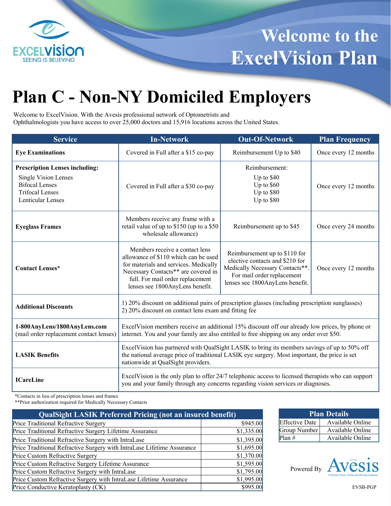

# **Plan C - Non-NY Domiciled Employers**

Welcome to ExcelVision. With the Avesis professional network of Optometrists and Ophthalmologists you have access to over 25,000 doctors and 15,916 locations across the United States.

| <b>Service</b>                                                                                                                                      | <b>In-Network</b>                                                                                                                                                                                                                   | <b>Out-Of-Network</b>                                                                                                                                                | <b>Plan Frequency</b> |
|-----------------------------------------------------------------------------------------------------------------------------------------------------|-------------------------------------------------------------------------------------------------------------------------------------------------------------------------------------------------------------------------------------|----------------------------------------------------------------------------------------------------------------------------------------------------------------------|-----------------------|
| <b>Eye Examinations</b>                                                                                                                             | Covered in Full after a \$15 co-pay                                                                                                                                                                                                 | Reimbursement Up to \$40                                                                                                                                             | Once every 12 months  |
| <b>Prescription Lenses including:</b><br><b>Single Vision Lenses</b><br><b>Bifocal Lenses</b><br><b>Trifocal Lenses</b><br><b>Lenticular Lenses</b> | Covered in Full after a \$30 co-pay                                                                                                                                                                                                 | Reimbursement:<br>Up to \$40<br>Up to $$60$<br>Up to \$80<br>Up to \$80                                                                                              | Once every 12 months  |
| <b>Eyeglass Frames</b>                                                                                                                              | Members receive any frame with a<br>retail value of up to \$150 (up to a \$50<br>Reimbursement up to \$45<br>wholesale allowance)                                                                                                   |                                                                                                                                                                      | Once every 24 months  |
| <b>Contact Lenses*</b>                                                                                                                              | Members receive a contact lens<br>allowance of \$110 which can be used<br>for materials and services. Medically<br>Necessary Contacts** are covered in<br>full. For mail order replacement<br>lenses see 1800AnyLens benefit.       | Reimbursement up to \$110 for<br>elective contacts and \$210 for<br>Medically Necessary Contacts**.<br>For mail order replacement<br>lenses see 1800AnyLens benefit. | Once every 12 months  |
| <b>Additional Discounts</b>                                                                                                                         | 1) 20% discount on additional pairs of prescription glasses (including prescription sunglasses)<br>2) 20% discount on contact lens exam and fitting fee                                                                             |                                                                                                                                                                      |                       |
| 1-800AnyLens/1800AnyLens.com<br>(mail order replacement contact lenses)                                                                             | ExcelVision members receive an additional 15% discount off our already low prices, by phone or<br>internet. You and your family are also entitled to free shipping on any order over \$50.                                          |                                                                                                                                                                      |                       |
| <b>LASIK Benefits</b>                                                                                                                               | ExcelVision has partnered with QualSight LASIK to bring its members savings of up to 50% off<br>the national average price of traditional LASIK eye surgery. Most important, the price is set<br>nationwide at QualSight providers. |                                                                                                                                                                      |                       |
| <b>ICareLine</b>                                                                                                                                    | ExcelVision is the only plan to offer 24/7 telephonic access to licensed therapists who can support<br>you and your family through any concerns regarding vision services or diagnoses.                                             |                                                                                                                                                                      |                       |

\*Contacts in lieu of prescription lenses and frames

\*\*Prior authorization required for Medically Necessary Contacts

| <b>QualSight LASIK Preferred Pricing (not an insured benefit)</b>      |            |  |
|------------------------------------------------------------------------|------------|--|
| Price Traditional Refractive Surgery                                   | \$945.00   |  |
| Price Traditional Refractive Surgery Lifetime Assurance                | \$1,335.00 |  |
| Price Traditional Refractive Surgery with IntraLase                    | \$1,395.00 |  |
| Price Traditional Refractive Surgery with IntraLase Lifetime Assurance | \$1,695.00 |  |
| Price Custom Refractive Surgery                                        | \$1,370.00 |  |
| Price Custom Refractive Surgery Lifetime Assurance                     | \$1,595.00 |  |
| Price Custom Refractive Surgery with IntraLase                         | \$1,795.00 |  |
| Price Custom Refractive Surgery with IntraLase Lifetime Assurance      | \$1,995.00 |  |
| Price Conductive Keratoplasty (CK)                                     | \$995.00   |  |

| <b>Plan Details</b>   |                  |  |  |
|-----------------------|------------------|--|--|
| <b>Effective Date</b> | Available Online |  |  |
| Group Number          | Available Online |  |  |
| $Plan \#$             | Available Online |  |  |